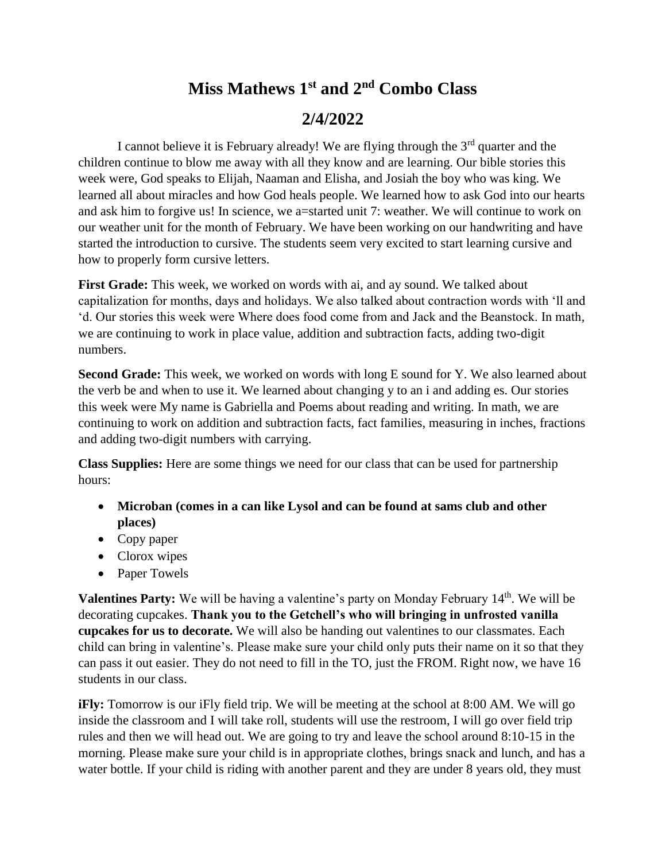# **Miss Mathews 1st and 2 nd Combo Class 2/4/2022**

I cannot believe it is February already! We are flying through the  $3<sup>rd</sup>$  quarter and the children continue to blow me away with all they know and are learning. Our bible stories this week were, God speaks to Elijah, Naaman and Elisha, and Josiah the boy who was king. We learned all about miracles and how God heals people. We learned how to ask God into our hearts and ask him to forgive us! In science, we a=started unit 7: weather. We will continue to work on our weather unit for the month of February. We have been working on our handwriting and have started the introduction to cursive. The students seem very excited to start learning cursive and how to properly form cursive letters.

**First Grade:** This week, we worked on words with ai, and ay sound. We talked about capitalization for months, days and holidays. We also talked about contraction words with 'll and 'd. Our stories this week were Where does food come from and Jack and the Beanstock. In math, we are continuing to work in place value, addition and subtraction facts, adding two-digit numbers.

Second Grade: This week, we worked on words with long E sound for Y. We also learned about the verb be and when to use it. We learned about changing y to an i and adding es. Our stories this week were My name is Gabriella and Poems about reading and writing. In math, we are continuing to work on addition and subtraction facts, fact families, measuring in inches, fractions and adding two-digit numbers with carrying.

**Class Supplies:** Here are some things we need for our class that can be used for partnership hours:

- **Microban (comes in a can like Lysol and can be found at sams club and other places)**
- Copy paper
- Clorox wipes
- Paper Towels

**Valentines Party:** We will be having a valentine's party on Monday February 14<sup>th</sup>. We will be decorating cupcakes. **Thank you to the Getchell's who will bringing in unfrosted vanilla cupcakes for us to decorate.** We will also be handing out valentines to our classmates. Each child can bring in valentine's. Please make sure your child only puts their name on it so that they can pass it out easier. They do not need to fill in the TO, just the FROM. Right now, we have 16 students in our class.

**iFly:** Tomorrow is our iFly field trip. We will be meeting at the school at 8:00 AM. We will go inside the classroom and I will take roll, students will use the restroom, I will go over field trip rules and then we will head out. We are going to try and leave the school around 8:10-15 in the morning. Please make sure your child is in appropriate clothes, brings snack and lunch, and has a water bottle. If your child is riding with another parent and they are under 8 years old, they must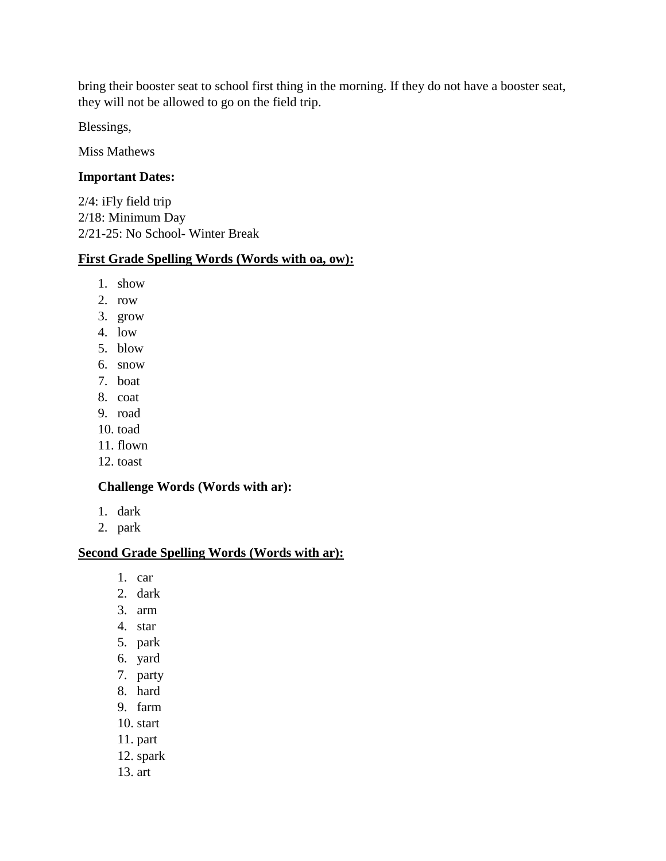bring their booster seat to school first thing in the morning. If they do not have a booster seat, they will not be allowed to go on the field trip.

Blessings,

Miss Mathews

#### **Important Dates:**

2/4: iFly field trip 2/18: Minimum Day 2/21-25: No School- Winter Break

#### **First Grade Spelling Words (Words with oa, ow):**

- 1. show
- 2. row
- 3. grow
- 4. low
- 5. blow
- 6. snow
- 7. boat
- 8. coat
- 9. road
- 10. toad
- 11. flown
- 12. toast

#### **Challenge Words (Words with ar):**

- 1. dark
- 2. park

#### **Second Grade Spelling Words (Words with ar):**

- 1. car
- 2. dark
- 3. arm
- 4. star
- 5. park
- 6. yard
- 7. party
- 8. hard
- 9. farm
- 10. start
- 11. part
- 12. spark
- 13. art